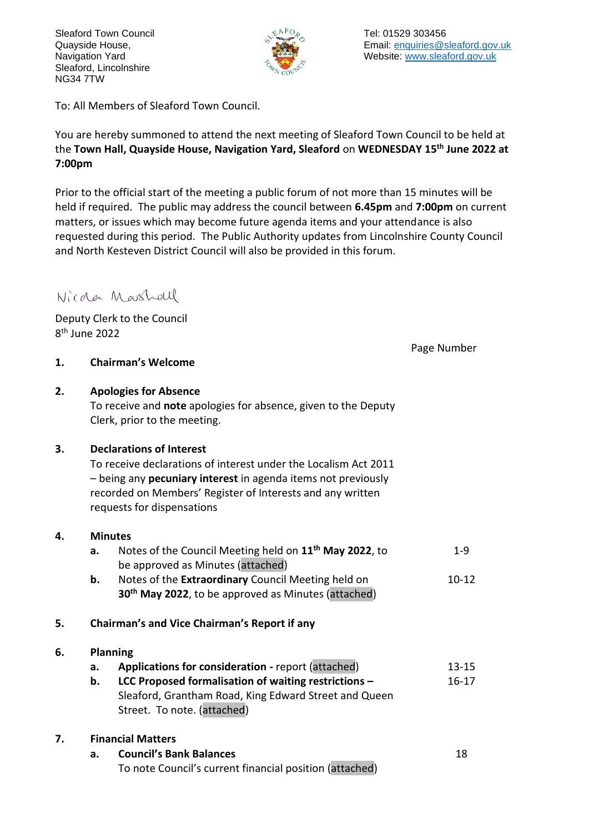Sleaford Town Council Quayside House, Navigation Yard Sleaford, Lincolnshire NG34 7TW



To: All Members of Sleaford Town Council.

You are hereby summoned to attend the next meeting of Sleaford Town Council to be held at the **Town Hall, Quayside House, Navigation Yard, Sleaford** on **WEDNESDAY 15th June 2022 at 7:00pm**

Prior to the official start of the meeting a public forum of not more than 15 minutes will be held if required. The public may address the council between **6.45pm** and **7:00pm** on current matters, or issues which may become future agenda items and your attendance is also requested during this period. The Public Authority updates from Lincolnshire County Council and North Kesteven District Council will also be provided in this forum.

## Nicola Marshall

Deputy Clerk to the Council 8 th June 2022

Page Number

- **1. Chairman's Welcome**
- **2. Apologies for Absence** To receive and **note** apologies for absence, given to the Deputy Clerk, prior to the meeting.

#### **3. Declarations of Interest**

To receive declarations of interest under the Localism Act 2011 – being any **pecuniary interest** in agenda items not previously recorded on Members' Register of Interests and any written requests for dispensations

#### **4. Minutes**

|    | а. | Notes of the Council Meeting held on 11 <sup>th</sup> May 2022, to | $1-9$     |
|----|----|--------------------------------------------------------------------|-----------|
|    |    | be approved as Minutes (attached)                                  |           |
|    | b. | Notes of the <b>Extraordinary</b> Council Meeting held on          | $10 - 12$ |
|    |    | 30 <sup>th</sup> May 2022, to be approved as Minutes (attached)    |           |
|    |    |                                                                    |           |
| 5. |    | Chairman's and Vice Chairman's Report if any                       |           |

#### **6. Planning**

| а. | <b>Applications for consideration - report (attached)</b> |  |  |  | $13 - 15$ |
|----|-----------------------------------------------------------|--|--|--|-----------|
|    |                                                           |  |  |  |           |

**b. LCC Proposed formalisation of waiting restrictions –** Sleaford, Grantham Road, King Edward Street and Queen Street. To note. (attached) 16-17

### **7**5.**. Financial Matters**

| а. | <b>Council's Bank Balances</b>                          |  |  |  |  |
|----|---------------------------------------------------------|--|--|--|--|
|    | To note Council's current financial position (attached) |  |  |  |  |